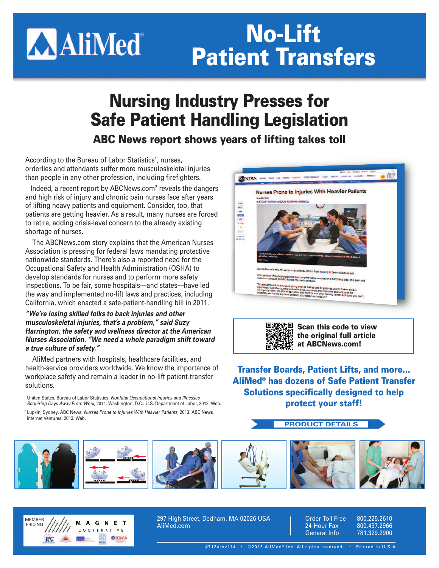# **AAliMed**

## **No-Lift Patient Transfers**

## **Nursing Industry Presses for Safe Patient Handling Legislation**

**ABC News report shows years of lifting takes toll**

According to the Bureau of Labor Statistics<sup>1</sup>, nurses, orderlies and attendants suffer more musculoskeletal injuries than people in any other profession, including firefighters.

Indeed, a recent report by ABCNews.com2 reveals the dangers and high risk of injury and chronic pain nurses face after years of lifting heavy patients and equipment. Consider, too, that patients are getting heavier. As a result, many nurses are forced to retire, adding crisis-level concern to the already existing shortage of nurses.

The ABCNews.com story explains that the American Nurses Association is pressing for federal laws mandating protective nationwide standards. There's also a reported need for the Occupational Safety and Health Administration (OSHA) to develop standards for nurses and to perform more safety inspections. To be fair, some hospitals—and states—have led the way and implemented no-lift laws and practices, including California, which enacted a safe-patient-handling bill in 2011.

#### *"We're losing skilled folks to back injuries and other musculoskeletal injuries, that's a problem," said Suzy Harrington, the safety and wellness director at the American Nurses Association. "We need a whole paradigm shift toward a true culture of safety."*

AliMed partners with hospitals, healthcare facilities, and health-service providers worldwide. We know the importance of workplace safety and remain a leader in no-lift patient-transfer solutions.

<sup>1</sup> United States. Bureau of Labor Statistics. *Nonfatal Occupational Injuries and Illnesses Requiring Days Away From Work*, 2011. Washington, D.C.: U.S. Department of Labor, 2012. Web.

<sup>2</sup> Lupkin, Sydney. ABC News. *Nurses Prone to Injuries With Heavier Patients*, 2013. ABC News Internet Ventures, 2013. Web.





**Scan this code to view the original full article at ABCNews.com!**

**Transfer Boards, Patient Lifts, and more… AliMed® has dozens of Safe Patient Transfer Solutions specifically designed to help protect your staff!**

#### **PRODUCT DETAILS**





297 High Street, Dedham, MA 02026 USA AliMed.com

Order Toll Free 800.225.2610 24-Hour Fax 800.437.2966<br>General Info 781.329.2900 General Info